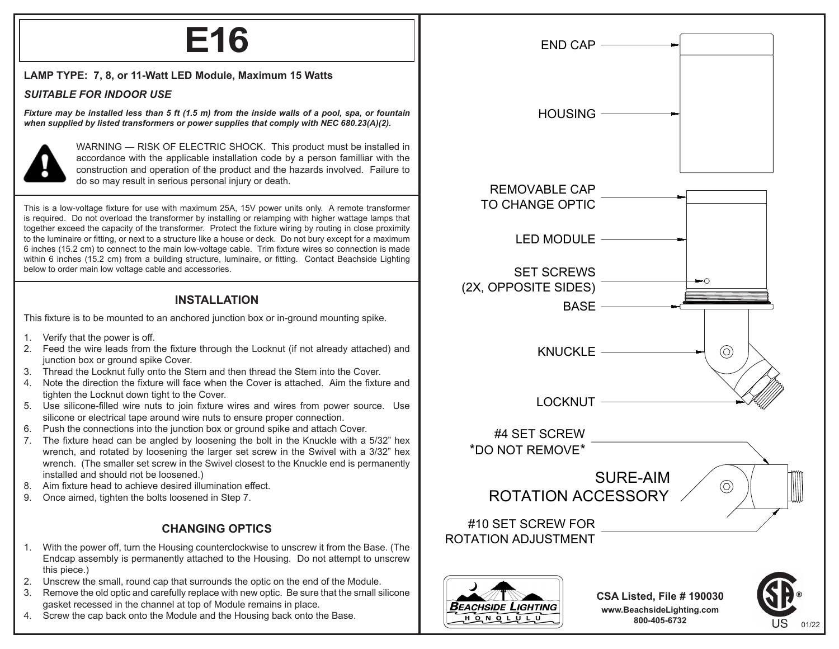# **E16**

#### **LAMP TYPE: 7, 8, or 11-Watt LED Module, Maximum 15 Watts**

#### *SUITABLE FOR INDOOR USE*

*Fixture may be installed less than 5 ft (1.5 m) from the inside walls of a pool, spa, or fountain when supplied by listed transformers or power supplies that comply with NEC 680.23(A)(2).*



WARNING — RISK OF ELECTRIC SHOCK. This product must be installed in accordance with the applicable installation code by a person familliar with the construction and operation of the product and the hazards involved. Failure to do so may result in serious personal injury or death.

This is a low-voltage fixture for use with maximum 25A, 15V power units only. A remote transformer is required. Do not overload the transformer by installing or relamping with higher wattage lamps that together exceed the capacity of the transformer. Protect the fixture wiring by routing in close proximity to the luminaire or fitting, or next to a structure like a house or deck. Do not bury except for a maximum 6 inches (15.2 cm) to connect to the main low-voltage cable. Trim fixture wires so connection is made within 6 inches (15.2 cm) from a building structure, luminaire, or fitting. Contact Beachside Lighting below to order main low voltage cable and accessories.

## **INSTALLATION**

This fixture is to be mounted to an anchored junction box or in-ground mounting spike.

- 1. Verify that the power is off.
- 2. Feed the wire leads from the fixture through the Locknut (if not already attached) and junction box or ground spike Cover.
- 3. Thread the Locknut fully onto the Stem and then thread the Stem into the Cover.
- 4. Note the direction the fixture will face when the Cover is attached. Aim the fixture and tighten the Locknut down tight to the Cover.
- 5. Use silicone-filled wire nuts to join fixture wires and wires from power source. Use silicone or electrical tape around wire nuts to ensure proper connection.
- 6. Push the connections into the junction box or ground spike and attach Cover.
- 7. The fixture head can be angled by loosening the bolt in the Knuckle with a 5/32" hex wrench, and rotated by loosening the larger set screw in the Swivel with a 3/32" hex wrench. (The smaller set screw in the Swivel closest to the Knuckle end is permanently installed and should not be loosened.)
- 8. Aim fixture head to achieve desired illumination effect.
- 9. Once aimed, tighten the bolts loosened in Step 7.

### **CHANGING OPTICS**

- 1. With the power off, turn the Housing counterclockwise to unscrew it from the Base. (The Endcap assembly is permanently attached to the Housing. Do not attempt to unscrew this piece.)
- 2. Unscrew the small, round cap that surrounds the optic on the end of the Module.
- 3. Remove the old optic and carefully replace with new optic. Be sure that the small silicone gasket recessed in the channel at top of Module remains in place.
- 4. Screw the cap back onto the Module and the Housing back onto the Base.